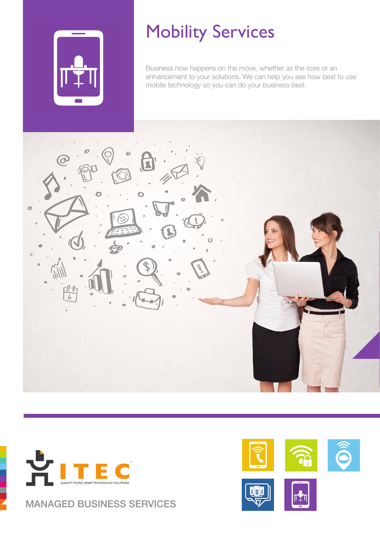

# Mobility Services

Business now happens on the move, whether as the core or an enhancement to your solutions. We can help you see how best to use mobile technology so you can do your business best.





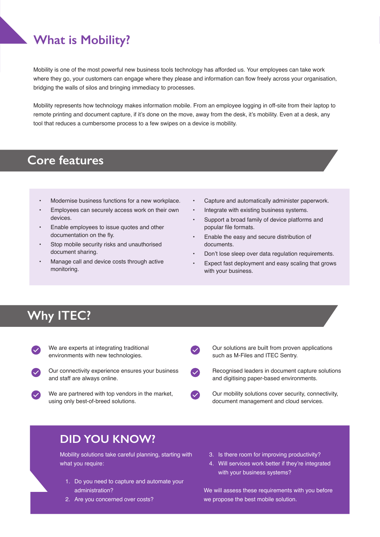# **What is Mobility?**

Mobility is one of the most powerful new business tools technology has afforded us. Your employees can take work where they go, your customers can engage where they please and information can flow freely across your organisation, bridging the walls of silos and bringing immediacy to processes.

Mobility represents how technology makes information mobile. From an employee logging in off-site from their laptop to remote printing and document capture, if it's done on the move, away from the desk, it's mobility. Even at a desk, any tool that reduces a cumbersome process to a few swipes on a device is mobility.

# **Core features**

- Modernise business functions for a new workplace.
- Employees can securely access work on their own devices.
- Enable employees to issue quotes and other documentation on the fly.
- Stop mobile security risks and unauthorised document sharing.
- Manage call and device costs through active monitoring.
- Capture and automatically administer paperwork.
- Integrate with existing business systems.
- Support a broad family of device platforms and popular file formats.
- Enable the easy and secure distribution of documents.
- Don't lose sleep over data regulation requirements.
- Expect fast deployment and easy scaling that grows with your business.

# **Why ITEC?**

- We are experts at integrating traditional environments with new technologies.
- Our connectivity experience ensures your business and staff are always online.
	- We are partnered with top vendors in the market, using only best-of-breed solutions.

Our solutions are built from proven applications such as M-Files and ITEC Sentry.

- Recognised leaders in document capture solutions and digitising paper-based environments.
- Our mobility solutions cover security, connectivity, document management and cloud services.

# **DID YOU KNOW?**

Mobility solutions take careful planning, starting with what you require:

- 1. Do you need to capture and automate your administration?
- 2. Are you concerned over costs?
- 3. Is there room for improving productivity?
- 4. Will services work better if they're integrated with your business systems?

We will assess these requirements with you before we propose the best mobile solution.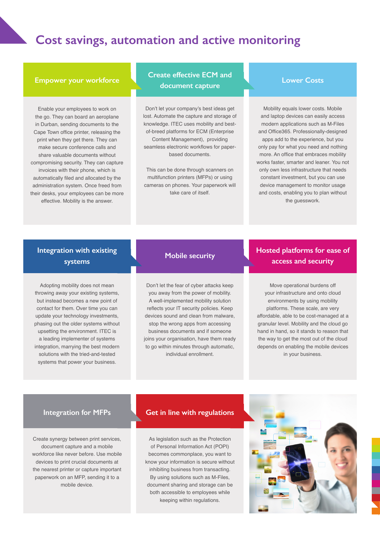# **Cost savings, automation and active monitoring**

### **Empower your workforce**

Enable your employees to work on the go. They can board an aeroplane in Durban, sending documents to the Cape Town office printer, releasing the print when they get there. They can make secure conference calls and share valuable documents without compromising security. They can capture invoices with their phone, which is automatically filed and allocated by the administration system. Once freed from their desks, your employees can be more effective. Mobility is the answer.

### **Create effective ECM and document capture**

Don't let your company's best ideas get lost. Automate the capture and storage of knowledge. ITEC uses mobility and bestof-breed platforms for ECM (Enterprise Content Management), providing seamless electronic workflows for paperbased documents.

This can be done through scanners on multifunction printers (MFPs) or using cameras on phones. Your paperwork will take care of itself.

### **Lower Costs**

Mobility equals lower costs. Mobile and laptop devices can easily access modern applications such as M-Files and Office365. Professionally-designed apps add to the experience, but you only pay for what you need and nothing more. An office that embraces mobility works faster, smarter and leaner. You not only own less infrastructure that needs constant investment, but you can use device management to monitor usage and costs, enabling you to plan without the guesswork.

# **Integration with existing**

Adopting mobility does not mean throwing away your existing systems, but instead becomes a new point of contact for them. Over time you can update your technology investments, phasing out the older systems without upsetting the environment. ITEC is a leading implementer of systems integration, marrying the best modern solutions with the tried-and-tested systems that power your business.

Don't let the fear of cyber attacks keep you away from the power of mobility. A well-implemented mobility solution reflects your IT security policies. Keep devices sound and clean from malware, stop the wrong apps from accessing business documents and if someone joins your organisation, have them ready to go within minutes through automatic, individual enrollment.

### **Systems Mobile security Mobile security Hosted platforms for ease of systems access and security**

Move operational burdens off your infrastructure and onto cloud environments by using mobility platforms. These scale, are very affordable, able to be cost-managed at a granular level. Mobility and the cloud go hand in hand, so it stands to reason that the way to get the most out of the cloud depends on enabling the mobile devices in your business.

### **Integration for MFPs**

Create synergy between print services, document capture and a mobile workforce like never before. Use mobile devices to print crucial documents at the nearest printer or capture important paperwork on an MFP, sending it to a mobile device.

### **Get in line with regulations**

As legislation such as the Protection of Personal Information Act (POPI) becomes commonplace, you want to know your information is secure without inhibiting business from transacting. By using solutions such as M-Files, document sharing and storage can be both accessible to employees while keeping within regulations.